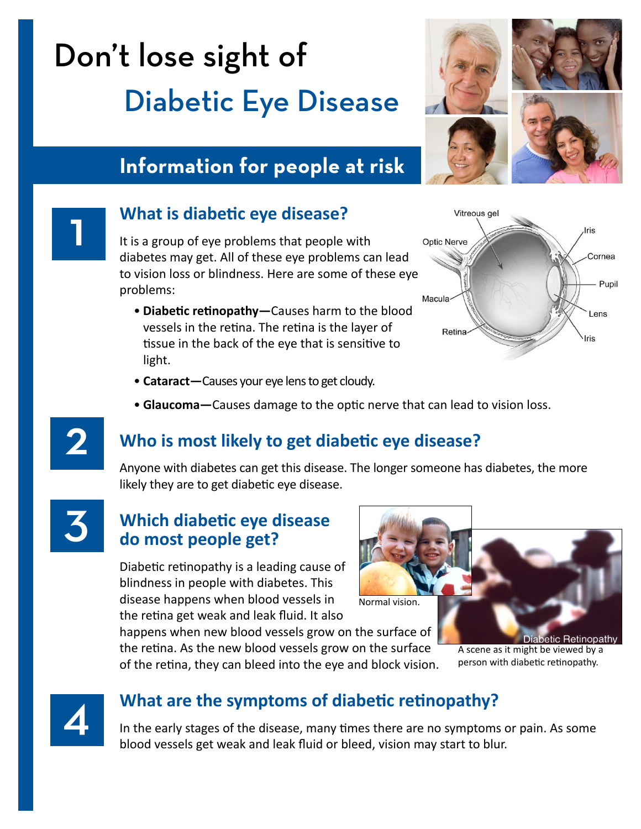# Don't lose sight of Diabetic Eye Disease

# **Information for people at risk**

### 1 **What is diabetic eye disease?**

It is a group of eye problems that people with diabetes may get. All of these eye problems can lead to vision loss or blindness. Here are some of these eye problems:

• **Diabetic retinopathy—**Causes harm to the blood vessels in the retina. The retina is the layer of tissue in the back of the eye that is sensitive to light.



- **Cataract—**Causes your eye lens to get cloudy.
- Glaucoma-Causes damage to the optic nerve that can lead to vision loss.

### 2 **Who is most likely to get diabetic eye disease?**

Anyone with diabetes can get this disease. The longer someone has diabetes, the more likely they are to get diabetic eye disease.



### 3 **Which diabetic eye disease do most people get?**

Diabetic retinopathy is a leading cause of blindness in people with diabetes. This disease happens when blood vessels in the retina get weak and leak fluid. It also

happens when new blood vessels grow on the surface of the retina. As the new blood vessels grow on the surface



of the retina, they can bleed into the eye and block vision.

betic Hetinopath A scene as it might be viewed by a person with diabetic retinopathy.



### 4 **What are the symptoms of diabetic retinopathy?**

In the early stages of the disease, many times there are no symptoms or pain. As some blood vessels get weak and leak fluid or bleed, vision may start to blur.